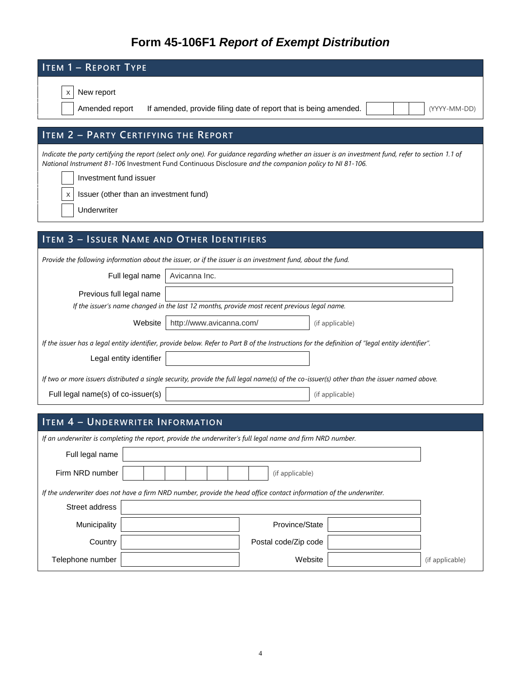# **Form 45-106F1** *Report of Exempt Distribution*

| <b>ITEM 1 - REPORT TYPE</b>                                                                                                                                                                                                                                                                                                                            |  |  |  |  |  |  |  |  |
|--------------------------------------------------------------------------------------------------------------------------------------------------------------------------------------------------------------------------------------------------------------------------------------------------------------------------------------------------------|--|--|--|--|--|--|--|--|
| New report<br>х                                                                                                                                                                                                                                                                                                                                        |  |  |  |  |  |  |  |  |
| Amended report<br>If amended, provide filing date of report that is being amended.<br>(YYYY-MM-DD)                                                                                                                                                                                                                                                     |  |  |  |  |  |  |  |  |
| <b>ITEM 2 - PARTY CERTIFYING THE REPORT</b>                                                                                                                                                                                                                                                                                                            |  |  |  |  |  |  |  |  |
| Indicate the party certifying the report (select only one). For guidance regarding whether an issuer is an investment fund, refer to section 1.1 of<br>National Instrument 81-106 Investment Fund Continuous Disclosure and the companion policy to NI 81-106.<br>Investment fund issuer<br>Issuer (other than an investment fund)<br>X<br>Underwriter |  |  |  |  |  |  |  |  |
|                                                                                                                                                                                                                                                                                                                                                        |  |  |  |  |  |  |  |  |
| <b>ITEM 3 - ISSUER NAME AND OTHER IDENTIFIERS</b>                                                                                                                                                                                                                                                                                                      |  |  |  |  |  |  |  |  |
| Provide the following information about the issuer, or if the issuer is an investment fund, about the fund.                                                                                                                                                                                                                                            |  |  |  |  |  |  |  |  |
| Full legal name<br>Avicanna Inc.<br>Previous full legal name                                                                                                                                                                                                                                                                                           |  |  |  |  |  |  |  |  |
| If the issuer's name changed in the last 12 months, provide most recent previous legal name.                                                                                                                                                                                                                                                           |  |  |  |  |  |  |  |  |
| http://www.avicanna.com/<br>Website<br>(if applicable)                                                                                                                                                                                                                                                                                                 |  |  |  |  |  |  |  |  |
| If the issuer has a legal entity identifier, provide below. Refer to Part B of the Instructions for the definition of "legal entity identifier".                                                                                                                                                                                                       |  |  |  |  |  |  |  |  |
| Legal entity identifier                                                                                                                                                                                                                                                                                                                                |  |  |  |  |  |  |  |  |
| If two or more issuers distributed a single security, provide the full legal name(s) of the co-issuer(s) other than the issuer named above.                                                                                                                                                                                                            |  |  |  |  |  |  |  |  |
| Full legal name(s) of co-issuer(s)<br>(if applicable)                                                                                                                                                                                                                                                                                                  |  |  |  |  |  |  |  |  |
| <b>ITEM 4 - UNDERWRITER INFORMATION</b>                                                                                                                                                                                                                                                                                                                |  |  |  |  |  |  |  |  |
| If an underwriter is completing the report, provide the underwriter's full legal name and firm NRD number.                                                                                                                                                                                                                                             |  |  |  |  |  |  |  |  |
| Full legal name                                                                                                                                                                                                                                                                                                                                        |  |  |  |  |  |  |  |  |
| Firm NRD number<br>(if applicable)                                                                                                                                                                                                                                                                                                                     |  |  |  |  |  |  |  |  |
| If the underwriter does not have a firm NRD number, provide the head office contact information of the underwriter.                                                                                                                                                                                                                                    |  |  |  |  |  |  |  |  |
| Street address                                                                                                                                                                                                                                                                                                                                         |  |  |  |  |  |  |  |  |
| Municipality<br>Province/State                                                                                                                                                                                                                                                                                                                         |  |  |  |  |  |  |  |  |
| Country<br>Postal code/Zip code                                                                                                                                                                                                                                                                                                                        |  |  |  |  |  |  |  |  |
| Website<br>Telephone number<br>(if applicable)                                                                                                                                                                                                                                                                                                         |  |  |  |  |  |  |  |  |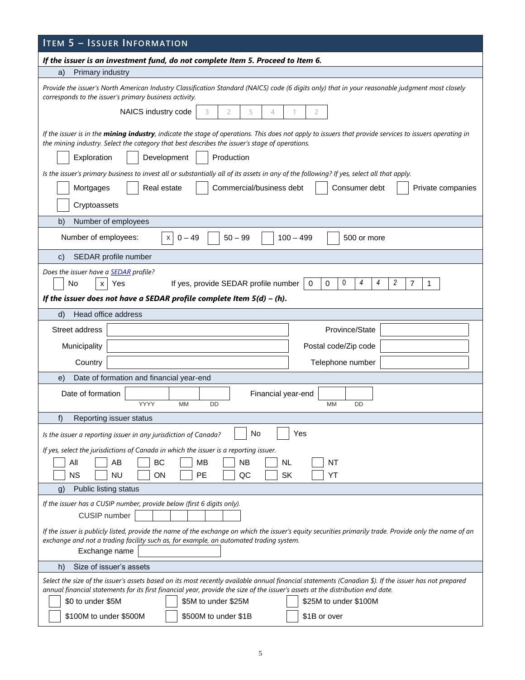| <b>ITEM 5 - ISSUER INFORMATION</b>                                                                                                                                                                                                                                                       |  |  |  |  |  |  |  |  |  |
|------------------------------------------------------------------------------------------------------------------------------------------------------------------------------------------------------------------------------------------------------------------------------------------|--|--|--|--|--|--|--|--|--|
| If the issuer is an investment fund, do not complete Item 5. Proceed to Item 6.                                                                                                                                                                                                          |  |  |  |  |  |  |  |  |  |
| Primary industry<br>a)                                                                                                                                                                                                                                                                   |  |  |  |  |  |  |  |  |  |
| Provide the issuer's North American Industry Classification Standard (NAICS) code (6 digits only) that in your reasonable judgment most closely<br>corresponds to the issuer's primary business activity.                                                                                |  |  |  |  |  |  |  |  |  |
| NAICS industry code<br>$\overline{c}$<br>5<br>3<br>4<br>2                                                                                                                                                                                                                                |  |  |  |  |  |  |  |  |  |
| If the issuer is in the mining industry, indicate the stage of operations. This does not apply to issuers that provide services to issuers operating in<br>the mining industry. Select the category that best describes the issuer's stage of operations.                                |  |  |  |  |  |  |  |  |  |
| Exploration<br>Development<br>Production                                                                                                                                                                                                                                                 |  |  |  |  |  |  |  |  |  |
| Is the issuer's primary business to invest all or substantially all of its assets in any of the following? If yes, select all that apply.                                                                                                                                                |  |  |  |  |  |  |  |  |  |
| Real estate<br>Commercial/business debt<br>Consumer debt<br>Mortgages<br>Private companies<br>Cryptoassets                                                                                                                                                                               |  |  |  |  |  |  |  |  |  |
| b)<br>Number of employees                                                                                                                                                                                                                                                                |  |  |  |  |  |  |  |  |  |
| Number of employees:<br>$100 - 499$<br>$0 - 49$<br>$50 - 99$<br>500 or more<br>$\times$                                                                                                                                                                                                  |  |  |  |  |  |  |  |  |  |
| SEDAR profile number<br>C)                                                                                                                                                                                                                                                               |  |  |  |  |  |  |  |  |  |
| Does the issuer have a <b>SEDAR</b> profile?                                                                                                                                                                                                                                             |  |  |  |  |  |  |  |  |  |
| 0<br>4<br>4<br>2<br>If yes, provide SEDAR profile number<br>$\mathbf 0$<br>7<br>No<br>0<br>1<br>Yes<br>$\times$                                                                                                                                                                          |  |  |  |  |  |  |  |  |  |
| If the issuer does not have a SEDAR profile complete Item $5(d) - (h)$ .                                                                                                                                                                                                                 |  |  |  |  |  |  |  |  |  |
| Head office address<br>d)                                                                                                                                                                                                                                                                |  |  |  |  |  |  |  |  |  |
| Street address<br>Province/State                                                                                                                                                                                                                                                         |  |  |  |  |  |  |  |  |  |
| Municipality<br>Postal code/Zip code                                                                                                                                                                                                                                                     |  |  |  |  |  |  |  |  |  |
| Country<br>Telephone number                                                                                                                                                                                                                                                              |  |  |  |  |  |  |  |  |  |
| Date of formation and financial year-end<br>e)                                                                                                                                                                                                                                           |  |  |  |  |  |  |  |  |  |
| Date of formation<br>Financial year-end<br><b>MM</b><br>YYYY<br><b>DD</b><br>МM<br>DD                                                                                                                                                                                                    |  |  |  |  |  |  |  |  |  |
| f)<br>Reporting issuer status                                                                                                                                                                                                                                                            |  |  |  |  |  |  |  |  |  |
| No<br>Yes<br>Is the issuer a reporting issuer in any jurisdiction of Canada?                                                                                                                                                                                                             |  |  |  |  |  |  |  |  |  |
| If yes, select the jurisdictions of Canada in which the issuer is a reporting issuer.                                                                                                                                                                                                    |  |  |  |  |  |  |  |  |  |
| BC<br>MB<br><b>NB</b><br>All<br>AB<br><b>NL</b><br>ΝT                                                                                                                                                                                                                                    |  |  |  |  |  |  |  |  |  |
| <b>NS</b><br><b>NU</b><br>РE<br>QC<br><b>SK</b><br>YT<br>ΟN                                                                                                                                                                                                                              |  |  |  |  |  |  |  |  |  |
| Public listing status<br>$\mathbf{g}$                                                                                                                                                                                                                                                    |  |  |  |  |  |  |  |  |  |
| If the issuer has a CUSIP number, provide below (first 6 digits only).<br>CUSIP number                                                                                                                                                                                                   |  |  |  |  |  |  |  |  |  |
| If the issuer is publicly listed, provide the name of the exchange on which the issuer's equity securities primarily trade. Provide only the name of an<br>exchange and not a trading facility such as, for example, an automated trading system.<br>Exchange name                       |  |  |  |  |  |  |  |  |  |
| Size of issuer's assets<br>h)                                                                                                                                                                                                                                                            |  |  |  |  |  |  |  |  |  |
| Select the size of the issuer's assets based on its most recently available annual financial statements (Canadian \$). If the issuer has not prepared<br>annual financial statements for its first financial year, provide the size of the issuer's assets at the distribution end date. |  |  |  |  |  |  |  |  |  |
| \$0 to under \$5M<br>\$5M to under \$25M<br>\$25M to under \$100M                                                                                                                                                                                                                        |  |  |  |  |  |  |  |  |  |
| \$100M to under \$500M<br>\$500M to under \$1B<br>\$1B or over                                                                                                                                                                                                                           |  |  |  |  |  |  |  |  |  |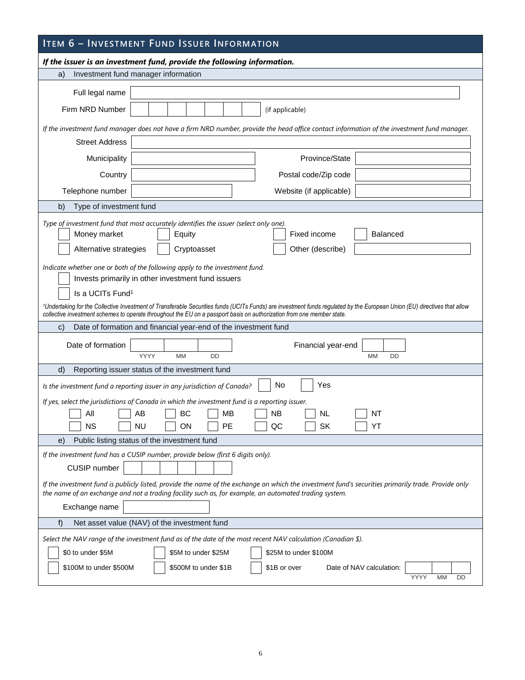| <b>ITEM 6 - INVESTMENT FUND ISSUER INFORMATION</b>                                                                                                                                                                                                                                                                                                                                                                                                                                   |  |  |  |  |  |  |  |  |
|--------------------------------------------------------------------------------------------------------------------------------------------------------------------------------------------------------------------------------------------------------------------------------------------------------------------------------------------------------------------------------------------------------------------------------------------------------------------------------------|--|--|--|--|--|--|--|--|
| If the issuer is an investment fund, provide the following information.                                                                                                                                                                                                                                                                                                                                                                                                              |  |  |  |  |  |  |  |  |
| Investment fund manager information<br>a)                                                                                                                                                                                                                                                                                                                                                                                                                                            |  |  |  |  |  |  |  |  |
| Full legal name                                                                                                                                                                                                                                                                                                                                                                                                                                                                      |  |  |  |  |  |  |  |  |
| Firm NRD Number<br>(if applicable)                                                                                                                                                                                                                                                                                                                                                                                                                                                   |  |  |  |  |  |  |  |  |
| If the investment fund manager does not have a firm NRD number, provide the head office contact information of the investment fund manager.                                                                                                                                                                                                                                                                                                                                          |  |  |  |  |  |  |  |  |
| <b>Street Address</b>                                                                                                                                                                                                                                                                                                                                                                                                                                                                |  |  |  |  |  |  |  |  |
| Province/State<br>Municipality                                                                                                                                                                                                                                                                                                                                                                                                                                                       |  |  |  |  |  |  |  |  |
| Country<br>Postal code/Zip code                                                                                                                                                                                                                                                                                                                                                                                                                                                      |  |  |  |  |  |  |  |  |
| Telephone number<br>Website (if applicable)                                                                                                                                                                                                                                                                                                                                                                                                                                          |  |  |  |  |  |  |  |  |
| Type of investment fund<br>b)                                                                                                                                                                                                                                                                                                                                                                                                                                                        |  |  |  |  |  |  |  |  |
| Type of investment fund that most accurately identifies the issuer (select only one).<br>Money market<br>Fixed income<br><b>Balanced</b><br>Equity<br>Alternative strategies<br>Cryptoasset<br>Other (describe)                                                                                                                                                                                                                                                                      |  |  |  |  |  |  |  |  |
| Indicate whether one or both of the following apply to the investment fund.<br>Invests primarily in other investment fund issuers<br>Is a UCITs Fund <sup>1</sup><br><sup>1</sup> Undertaking for the Collective Investment of Transferable Securities funds (UCITs Funds) are investment funds regulated by the European Union (EU) directives that allow<br>collective investment schemes to operate throughout the EU on a passport basis on authorization from one member state. |  |  |  |  |  |  |  |  |
| Date of formation and financial year-end of the investment fund<br>C)                                                                                                                                                                                                                                                                                                                                                                                                                |  |  |  |  |  |  |  |  |
| Date of formation<br>Financial year-end<br><b>YYYY</b><br><b>MM</b><br><b>DD</b><br><b>MM</b><br><b>DD</b>                                                                                                                                                                                                                                                                                                                                                                           |  |  |  |  |  |  |  |  |
| d)<br>Reporting issuer status of the investment fund                                                                                                                                                                                                                                                                                                                                                                                                                                 |  |  |  |  |  |  |  |  |
| No.<br>Yes<br>Is the investment fund a reporting issuer in any jurisdiction of Canada?                                                                                                                                                                                                                                                                                                                                                                                               |  |  |  |  |  |  |  |  |
| If yes, select the jurisdictions of Canada in which the investment fund is a reporting issuer.<br>BC<br>All<br>AB<br>МB<br>NΒ<br><b>NL</b><br>NT<br><b>NS</b><br><b>NU</b><br>PE<br>QC<br>SK<br>ON<br>YT<br>Public listing status of the investment fund<br>e)                                                                                                                                                                                                                       |  |  |  |  |  |  |  |  |
| If the investment fund has a CUSIP number, provide below (first 6 digits only).                                                                                                                                                                                                                                                                                                                                                                                                      |  |  |  |  |  |  |  |  |
| CUSIP number                                                                                                                                                                                                                                                                                                                                                                                                                                                                         |  |  |  |  |  |  |  |  |
| If the investment fund is publicly listed, provide the name of the exchange on which the investment fund's securities primarily trade. Provide only<br>the name of an exchange and not a trading facility such as, for example, an automated trading system.<br>Exchange name                                                                                                                                                                                                        |  |  |  |  |  |  |  |  |
| f)<br>Net asset value (NAV) of the investment fund                                                                                                                                                                                                                                                                                                                                                                                                                                   |  |  |  |  |  |  |  |  |
| Select the NAV range of the investment fund as of the date of the most recent NAV calculation (Canadian \$).<br>\$0 to under \$5M<br>\$5M to under \$25M<br>\$25M to under \$100M<br>\$100M to under \$500M<br>\$500M to under \$1B<br>\$1B or over<br>Date of NAV calculation:<br><b>MM</b><br>YYYY<br>DD                                                                                                                                                                           |  |  |  |  |  |  |  |  |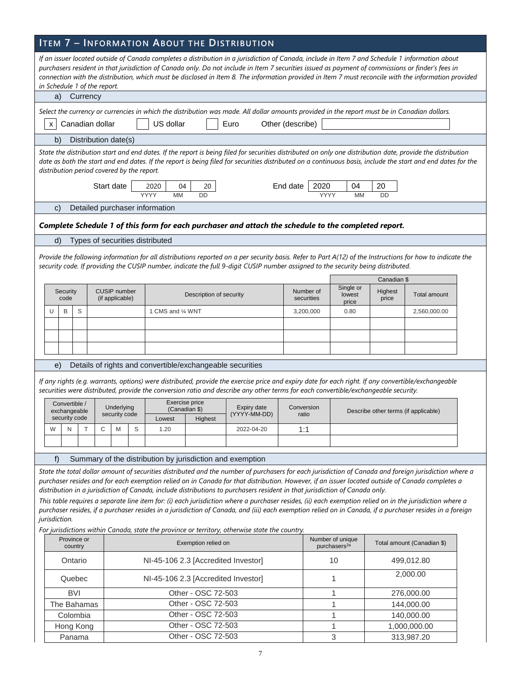## **ITEM 7 – INFORMATION ABOUT THE DISTRIBUTION**

|                                                                                                                                                                                                                                                                                                                                                                                                                                                                                                                                                                                                                                                                                                                                                                                                                                                     | If an issuer located outside of Canada completes a distribution in a jurisdiction of Canada, include in Item 7 and Schedule 1 information about<br>purchasers resident in that jurisdiction of Canada only. Do not include in Item 7 securities issued as payment of commissions or finder's fees in<br>connection with the distribution, which must be disclosed in Item 8. The information provided in Item 7 must reconcile with the information provided<br>in Schedule 1 of the report.<br>a)<br>Currency |                                                |             |                      |                                        |   |                                 |                                                           |                                                                                                                                                                                                                                                                                           |  |                         |                              |                                      |                     |  |
|-----------------------------------------------------------------------------------------------------------------------------------------------------------------------------------------------------------------------------------------------------------------------------------------------------------------------------------------------------------------------------------------------------------------------------------------------------------------------------------------------------------------------------------------------------------------------------------------------------------------------------------------------------------------------------------------------------------------------------------------------------------------------------------------------------------------------------------------------------|----------------------------------------------------------------------------------------------------------------------------------------------------------------------------------------------------------------------------------------------------------------------------------------------------------------------------------------------------------------------------------------------------------------------------------------------------------------------------------------------------------------|------------------------------------------------|-------------|----------------------|----------------------------------------|---|---------------------------------|-----------------------------------------------------------|-------------------------------------------------------------------------------------------------------------------------------------------------------------------------------------------------------------------------------------------------------------------------------------------|--|-------------------------|------------------------------|--------------------------------------|---------------------|--|
|                                                                                                                                                                                                                                                                                                                                                                                                                                                                                                                                                                                                                                                                                                                                                                                                                                                     |                                                                                                                                                                                                                                                                                                                                                                                                                                                                                                                |                                                |             |                      |                                        |   |                                 |                                                           |                                                                                                                                                                                                                                                                                           |  |                         |                              |                                      |                     |  |
|                                                                                                                                                                                                                                                                                                                                                                                                                                                                                                                                                                                                                                                                                                                                                                                                                                                     | Select the currency or currencies in which the distribution was made. All dollar amounts provided in the report must be in Canadian dollars.<br>Canadian dollar<br>US dollar<br>Other (describe)<br>Euro<br>$\mathsf{x}$                                                                                                                                                                                                                                                                                       |                                                |             |                      |                                        |   |                                 |                                                           |                                                                                                                                                                                                                                                                                           |  |                         |                              |                                      |                     |  |
|                                                                                                                                                                                                                                                                                                                                                                                                                                                                                                                                                                                                                                                                                                                                                                                                                                                     | b)                                                                                                                                                                                                                                                                                                                                                                                                                                                                                                             |                                                |             | Distribution date(s) |                                        |   |                                 |                                                           |                                                                                                                                                                                                                                                                                           |  |                         |                              |                                      |                     |  |
|                                                                                                                                                                                                                                                                                                                                                                                                                                                                                                                                                                                                                                                                                                                                                                                                                                                     | State the distribution start and end dates. If the report is being filed for securities distributed on only one distribution date, provide the distribution<br>date as both the start and end dates. If the report is being filed for securities distributed on a continuous basis, include the start and end dates for the<br>distribution period covered by the report.<br>Start date<br>End date<br>2020<br>04<br>20<br>2020<br>04<br>20                                                                    |                                                |             |                      |                                        |   |                                 |                                                           |                                                                                                                                                                                                                                                                                           |  |                         |                              |                                      |                     |  |
|                                                                                                                                                                                                                                                                                                                                                                                                                                                                                                                                                                                                                                                                                                                                                                                                                                                     |                                                                                                                                                                                                                                                                                                                                                                                                                                                                                                                |                                                |             |                      |                                        |   | YYYY<br><b>MM</b>               | DD                                                        |                                                                                                                                                                                                                                                                                           |  | YYYY                    | <b>MM</b>                    | <b>DD</b>                            |                     |  |
|                                                                                                                                                                                                                                                                                                                                                                                                                                                                                                                                                                                                                                                                                                                                                                                                                                                     | C)                                                                                                                                                                                                                                                                                                                                                                                                                                                                                                             |                                                |             |                      |                                        |   | Detailed purchaser information  |                                                           |                                                                                                                                                                                                                                                                                           |  |                         |                              |                                      |                     |  |
|                                                                                                                                                                                                                                                                                                                                                                                                                                                                                                                                                                                                                                                                                                                                                                                                                                                     |                                                                                                                                                                                                                                                                                                                                                                                                                                                                                                                |                                                |             |                      |                                        |   |                                 |                                                           | Complete Schedule 1 of this form for each purchaser and attach the schedule to the completed report.                                                                                                                                                                                      |  |                         |                              |                                      |                     |  |
|                                                                                                                                                                                                                                                                                                                                                                                                                                                                                                                                                                                                                                                                                                                                                                                                                                                     | d)                                                                                                                                                                                                                                                                                                                                                                                                                                                                                                             |                                                |             |                      |                                        |   | Types of securities distributed |                                                           |                                                                                                                                                                                                                                                                                           |  |                         |                              |                                      |                     |  |
|                                                                                                                                                                                                                                                                                                                                                                                                                                                                                                                                                                                                                                                                                                                                                                                                                                                     |                                                                                                                                                                                                                                                                                                                                                                                                                                                                                                                |                                                |             |                      |                                        |   |                                 |                                                           | Provide the following information for all distributions reported on a per security basis. Refer to Part A(12) of the Instructions for how to indicate the                                                                                                                                 |  |                         |                              |                                      |                     |  |
|                                                                                                                                                                                                                                                                                                                                                                                                                                                                                                                                                                                                                                                                                                                                                                                                                                                     |                                                                                                                                                                                                                                                                                                                                                                                                                                                                                                                |                                                |             |                      |                                        |   |                                 |                                                           | security code. If providing the CUSIP number, indicate the full 9-digit CUSIP number assigned to the security being distributed.                                                                                                                                                          |  |                         |                              |                                      |                     |  |
|                                                                                                                                                                                                                                                                                                                                                                                                                                                                                                                                                                                                                                                                                                                                                                                                                                                     |                                                                                                                                                                                                                                                                                                                                                                                                                                                                                                                |                                                |             |                      |                                        |   |                                 |                                                           |                                                                                                                                                                                                                                                                                           |  |                         |                              | Canadian \$                          |                     |  |
|                                                                                                                                                                                                                                                                                                                                                                                                                                                                                                                                                                                                                                                                                                                                                                                                                                                     |                                                                                                                                                                                                                                                                                                                                                                                                                                                                                                                | Security<br>code                               |             |                      | <b>CUSIP</b> number<br>(if applicable) |   |                                 | Description of security                                   |                                                                                                                                                                                                                                                                                           |  | Number of<br>securities | Single or<br>lowest<br>price | Highest<br>price                     | <b>Total amount</b> |  |
|                                                                                                                                                                                                                                                                                                                                                                                                                                                                                                                                                                                                                                                                                                                                                                                                                                                     | U                                                                                                                                                                                                                                                                                                                                                                                                                                                                                                              | B                                              | S           |                      |                                        |   | 1 CMS and 1/4 WNT               |                                                           |                                                                                                                                                                                                                                                                                           |  | 3,200,000               | 0.80                         |                                      | 2,560,000.00        |  |
|                                                                                                                                                                                                                                                                                                                                                                                                                                                                                                                                                                                                                                                                                                                                                                                                                                                     |                                                                                                                                                                                                                                                                                                                                                                                                                                                                                                                |                                                |             |                      |                                        |   |                                 |                                                           |                                                                                                                                                                                                                                                                                           |  |                         |                              |                                      |                     |  |
|                                                                                                                                                                                                                                                                                                                                                                                                                                                                                                                                                                                                                                                                                                                                                                                                                                                     |                                                                                                                                                                                                                                                                                                                                                                                                                                                                                                                |                                                |             |                      |                                        |   |                                 |                                                           |                                                                                                                                                                                                                                                                                           |  |                         |                              |                                      |                     |  |
|                                                                                                                                                                                                                                                                                                                                                                                                                                                                                                                                                                                                                                                                                                                                                                                                                                                     |                                                                                                                                                                                                                                                                                                                                                                                                                                                                                                                |                                                |             |                      |                                        |   |                                 |                                                           |                                                                                                                                                                                                                                                                                           |  |                         |                              |                                      |                     |  |
|                                                                                                                                                                                                                                                                                                                                                                                                                                                                                                                                                                                                                                                                                                                                                                                                                                                     | e)                                                                                                                                                                                                                                                                                                                                                                                                                                                                                                             |                                                |             |                      |                                        |   |                                 | Details of rights and convertible/exchangeable securities |                                                                                                                                                                                                                                                                                           |  |                         |                              |                                      |                     |  |
|                                                                                                                                                                                                                                                                                                                                                                                                                                                                                                                                                                                                                                                                                                                                                                                                                                                     |                                                                                                                                                                                                                                                                                                                                                                                                                                                                                                                |                                                |             |                      |                                        |   |                                 |                                                           | If any rights (e.g. warrants, options) were distributed, provide the exercise price and expiry date for each right. If any convertible/exchangeable<br>securities were distributed, provide the conversion ratio and describe any other terms for each convertible/exchangeable security. |  |                         |                              |                                      |                     |  |
|                                                                                                                                                                                                                                                                                                                                                                                                                                                                                                                                                                                                                                                                                                                                                                                                                                                     |                                                                                                                                                                                                                                                                                                                                                                                                                                                                                                                | Convertible /<br>exchangeable<br>security code |             |                      | Underlying<br>security code            |   | Lowest                          | Exercise price<br>(Canadian \$)<br>Highest                | Expiry date<br>(YYYY-MM-DD)                                                                                                                                                                                                                                                               |  | Conversion<br>ratio     |                              | Describe other terms (if applicable) |                     |  |
|                                                                                                                                                                                                                                                                                                                                                                                                                                                                                                                                                                                                                                                                                                                                                                                                                                                     | W                                                                                                                                                                                                                                                                                                                                                                                                                                                                                                              | N                                              | Τ           | С                    | M                                      | S | 1.20                            |                                                           | 2022-04-20                                                                                                                                                                                                                                                                                |  | 1:1                     |                              |                                      |                     |  |
|                                                                                                                                                                                                                                                                                                                                                                                                                                                                                                                                                                                                                                                                                                                                                                                                                                                     |                                                                                                                                                                                                                                                                                                                                                                                                                                                                                                                |                                                |             |                      |                                        |   |                                 |                                                           |                                                                                                                                                                                                                                                                                           |  |                         |                              |                                      |                     |  |
|                                                                                                                                                                                                                                                                                                                                                                                                                                                                                                                                                                                                                                                                                                                                                                                                                                                     |                                                                                                                                                                                                                                                                                                                                                                                                                                                                                                                |                                                |             |                      |                                        |   |                                 |                                                           |                                                                                                                                                                                                                                                                                           |  |                         |                              |                                      |                     |  |
| Summary of the distribution by jurisdiction and exemption<br>f)<br>State the total dollar amount of securities distributed and the number of purchasers for each jurisdiction of Canada and foreign jurisdiction where a<br>purchaser resides and for each exemption relied on in Canada for that distribution. However, if an issuer located outside of Canada completes a<br>distribution in a jurisdiction of Canada, include distributions to purchasers resident in that jurisdiction of Canada only.<br>This table requires a separate line item for: (i) each jurisdiction where a purchaser resides, (ii) each exemption relied on in the jurisdiction where a<br>purchaser resides, if a purchaser resides in a jurisdiction of Canada, and (iii) each exemption relied on in Canada, if a purchaser resides in a foreign<br>jurisdiction. |                                                                                                                                                                                                                                                                                                                                                                                                                                                                                                                |                                                |             |                      |                                        |   |                                 |                                                           |                                                                                                                                                                                                                                                                                           |  |                         |                              |                                      |                     |  |
| For jurisdictions within Canada, state the province or territory, otherwise state the country.                                                                                                                                                                                                                                                                                                                                                                                                                                                                                                                                                                                                                                                                                                                                                      |                                                                                                                                                                                                                                                                                                                                                                                                                                                                                                                |                                                |             |                      |                                        |   |                                 |                                                           |                                                                                                                                                                                                                                                                                           |  |                         |                              |                                      |                     |  |
| Number of unique<br>Province or<br>Exemption relied on<br>Total amount (Canadian \$)<br>purchasers <sup>2a</sup><br>country                                                                                                                                                                                                                                                                                                                                                                                                                                                                                                                                                                                                                                                                                                                         |                                                                                                                                                                                                                                                                                                                                                                                                                                                                                                                |                                                |             |                      |                                        |   |                                 |                                                           |                                                                                                                                                                                                                                                                                           |  |                         |                              |                                      |                     |  |
|                                                                                                                                                                                                                                                                                                                                                                                                                                                                                                                                                                                                                                                                                                                                                                                                                                                     |                                                                                                                                                                                                                                                                                                                                                                                                                                                                                                                | Ontario                                        |             |                      |                                        |   |                                 | NI-45-106 2.3 [Accredited Investor]                       |                                                                                                                                                                                                                                                                                           |  |                         | 10                           |                                      | 499,012.80          |  |
|                                                                                                                                                                                                                                                                                                                                                                                                                                                                                                                                                                                                                                                                                                                                                                                                                                                     |                                                                                                                                                                                                                                                                                                                                                                                                                                                                                                                |                                                | Quebec      |                      |                                        |   |                                 | NI-45-106 2.3 [Accredited Investor]                       |                                                                                                                                                                                                                                                                                           |  |                         | 1                            |                                      | 2,000.00            |  |
|                                                                                                                                                                                                                                                                                                                                                                                                                                                                                                                                                                                                                                                                                                                                                                                                                                                     |                                                                                                                                                                                                                                                                                                                                                                                                                                                                                                                | <b>BVI</b>                                     |             |                      |                                        |   |                                 | Other - OSC 72-503                                        |                                                                                                                                                                                                                                                                                           |  | 276,000.00<br>1         |                              |                                      |                     |  |
|                                                                                                                                                                                                                                                                                                                                                                                                                                                                                                                                                                                                                                                                                                                                                                                                                                                     |                                                                                                                                                                                                                                                                                                                                                                                                                                                                                                                |                                                | The Bahamas |                      |                                        |   |                                 | Other - OSC 72-503                                        |                                                                                                                                                                                                                                                                                           |  |                         | 1                            |                                      | 144,000.00          |  |
|                                                                                                                                                                                                                                                                                                                                                                                                                                                                                                                                                                                                                                                                                                                                                                                                                                                     |                                                                                                                                                                                                                                                                                                                                                                                                                                                                                                                |                                                | Colombia    |                      |                                        |   |                                 | Other - OSC 72-503                                        |                                                                                                                                                                                                                                                                                           |  |                         | $\mathbf{1}$<br>140,000.00   |                                      |                     |  |
|                                                                                                                                                                                                                                                                                                                                                                                                                                                                                                                                                                                                                                                                                                                                                                                                                                                     |                                                                                                                                                                                                                                                                                                                                                                                                                                                                                                                |                                                | Hong Kong   |                      |                                        |   |                                 | Other - OSC 72-503                                        |                                                                                                                                                                                                                                                                                           |  |                         | 1<br>1,000,000.00            |                                      |                     |  |
|                                                                                                                                                                                                                                                                                                                                                                                                                                                                                                                                                                                                                                                                                                                                                                                                                                                     |                                                                                                                                                                                                                                                                                                                                                                                                                                                                                                                |                                                | Panama      |                      |                                        |   |                                 | Other - OSC 72-503                                        |                                                                                                                                                                                                                                                                                           |  |                         | 3                            | 313,987.20                           |                     |  |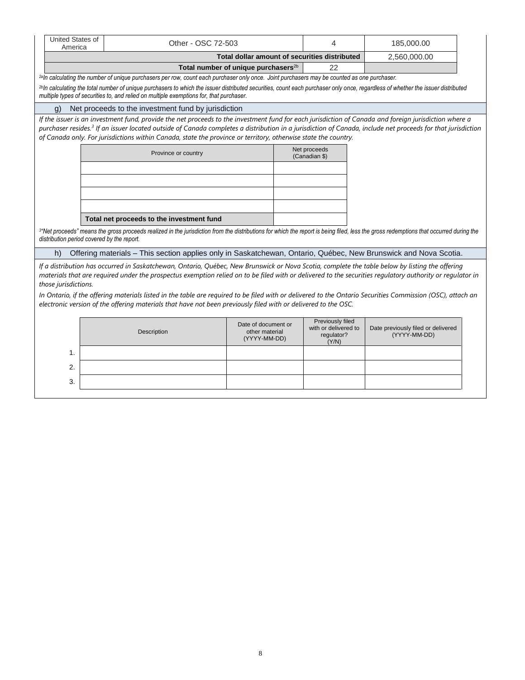| United States of<br>America                | Other - OSC 72-503                                                                                                                                                                                                                                                                                                                                                                                                                                 |                                                       | 4                                                               | 185,000.00                                         |  |  |  |  |  |  |  |
|--------------------------------------------|----------------------------------------------------------------------------------------------------------------------------------------------------------------------------------------------------------------------------------------------------------------------------------------------------------------------------------------------------------------------------------------------------------------------------------------------------|-------------------------------------------------------|-----------------------------------------------------------------|----------------------------------------------------|--|--|--|--|--|--|--|
|                                            |                                                                                                                                                                                                                                                                                                                                                                                                                                                    | Total dollar amount of securities distributed         |                                                                 | 2,560,000.00                                       |  |  |  |  |  |  |  |
|                                            |                                                                                                                                                                                                                                                                                                                                                                                                                                                    | Total number of unique purchasers <sup>2b</sup>       | 22                                                              |                                                    |  |  |  |  |  |  |  |
|                                            | <sup>2a</sup> ln calculating the number of unique purchasers per row, count each purchaser only once. Joint purchasers may be counted as one purchaser.                                                                                                                                                                                                                                                                                            |                                                       |                                                                 |                                                    |  |  |  |  |  |  |  |
|                                            | <sup>2b</sup> ln calculating the total number of unique purchasers to which the issuer distributed securities, count each purchaser only once, regardless of whether the issuer distributed<br>multiple types of securities to, and relied on multiple exemptions for, that purchaser.                                                                                                                                                             |                                                       |                                                                 |                                                    |  |  |  |  |  |  |  |
| q)                                         | Net proceeds to the investment fund by jurisdiction                                                                                                                                                                                                                                                                                                                                                                                                |                                                       |                                                                 |                                                    |  |  |  |  |  |  |  |
|                                            | If the issuer is an investment fund, provide the net proceeds to the investment fund for each jurisdiction of Canada and foreign jurisdiction where a<br>purchaser resides. <sup>3</sup> If an issuer located outside of Canada completes a distribution in a jurisdiction of Canada, include net proceeds for that jurisdiction<br>of Canada only. For jurisdictions within Canada, state the province or territory, otherwise state the country. |                                                       |                                                                 |                                                    |  |  |  |  |  |  |  |
|                                            | Province or country                                                                                                                                                                                                                                                                                                                                                                                                                                |                                                       | Net proceeds<br>(Canadian \$)                                   |                                                    |  |  |  |  |  |  |  |
|                                            |                                                                                                                                                                                                                                                                                                                                                                                                                                                    |                                                       |                                                                 |                                                    |  |  |  |  |  |  |  |
|                                            |                                                                                                                                                                                                                                                                                                                                                                                                                                                    |                                                       |                                                                 |                                                    |  |  |  |  |  |  |  |
|                                            |                                                                                                                                                                                                                                                                                                                                                                                                                                                    |                                                       |                                                                 |                                                    |  |  |  |  |  |  |  |
|                                            | Total net proceeds to the investment fund                                                                                                                                                                                                                                                                                                                                                                                                          |                                                       |                                                                 |                                                    |  |  |  |  |  |  |  |
| distribution period covered by the report. | <sup>3</sup> "Net proceeds" means the gross proceeds realized in the jurisdiction from the distributions for which the report is being filed, less the gross redemptions that occurred during the                                                                                                                                                                                                                                                  |                                                       |                                                                 |                                                    |  |  |  |  |  |  |  |
| h)                                         | Offering materials - This section applies only in Saskatchewan, Ontario, Québec, New Brunswick and Nova Scotia.                                                                                                                                                                                                                                                                                                                                    |                                                       |                                                                 |                                                    |  |  |  |  |  |  |  |
| those jurisdictions.                       | If a distribution has occurred in Saskatchewan, Ontario, Québec, New Brunswick or Nova Scotia, complete the table below by listing the offering<br>materials that are required under the prospectus exemption relied on to be filed with or delivered to the securities requlatory authority or requlator in                                                                                                                                       |                                                       |                                                                 |                                                    |  |  |  |  |  |  |  |
|                                            | In Ontario, if the offering materials listed in the table are required to be filed with or delivered to the Ontario Securities Commission (OSC), attach an<br>electronic version of the offering materials that have not been previously filed with or delivered to the OSC.                                                                                                                                                                       |                                                       |                                                                 |                                                    |  |  |  |  |  |  |  |
|                                            | Description                                                                                                                                                                                                                                                                                                                                                                                                                                        | Date of document or<br>other material<br>(YYYY-MM-DD) | Previously filed<br>with or delivered to<br>regulator?<br>(Y/N) | Date previously filed or delivered<br>(YYYY-MM-DD) |  |  |  |  |  |  |  |
| 1.                                         |                                                                                                                                                                                                                                                                                                                                                                                                                                                    |                                                       |                                                                 |                                                    |  |  |  |  |  |  |  |
| $\mathbf{2}$                               |                                                                                                                                                                                                                                                                                                                                                                                                                                                    |                                                       |                                                                 |                                                    |  |  |  |  |  |  |  |
| 3.                                         |                                                                                                                                                                                                                                                                                                                                                                                                                                                    |                                                       |                                                                 |                                                    |  |  |  |  |  |  |  |
|                                            |                                                                                                                                                                                                                                                                                                                                                                                                                                                    |                                                       |                                                                 |                                                    |  |  |  |  |  |  |  |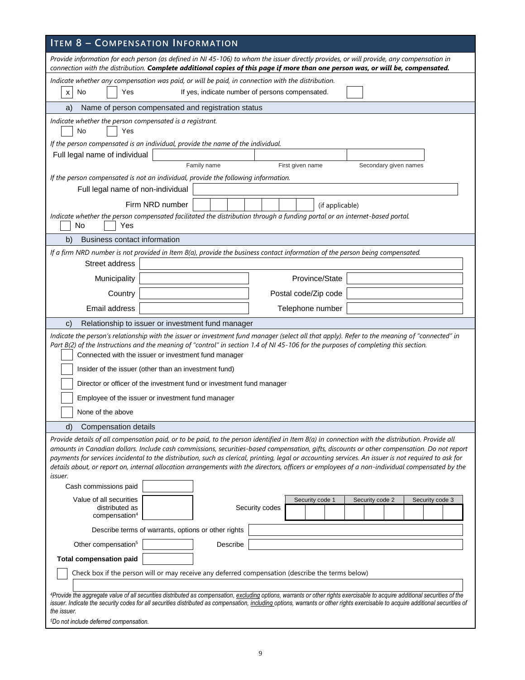| <b>ITEM 8 - COMPENSATION INFORMATION</b>                                                                                                                                                                                                                                                                                                                                                                                                                                                                                                                                                                                                          |  |  |  |  |  |  |  |  |
|---------------------------------------------------------------------------------------------------------------------------------------------------------------------------------------------------------------------------------------------------------------------------------------------------------------------------------------------------------------------------------------------------------------------------------------------------------------------------------------------------------------------------------------------------------------------------------------------------------------------------------------------------|--|--|--|--|--|--|--|--|
| Provide information for each person (as defined in NI 45-106) to whom the issuer directly provides, or will provide, any compensation in<br>connection with the distribution. Complete additional copies of this page if more than one person was, or will be, compensated.                                                                                                                                                                                                                                                                                                                                                                       |  |  |  |  |  |  |  |  |
| Indicate whether any compensation was paid, or will be paid, in connection with the distribution.                                                                                                                                                                                                                                                                                                                                                                                                                                                                                                                                                 |  |  |  |  |  |  |  |  |
| If yes, indicate number of persons compensated.<br>No<br>Yes<br>X                                                                                                                                                                                                                                                                                                                                                                                                                                                                                                                                                                                 |  |  |  |  |  |  |  |  |
| Name of person compensated and registration status<br>a)                                                                                                                                                                                                                                                                                                                                                                                                                                                                                                                                                                                          |  |  |  |  |  |  |  |  |
| Indicate whether the person compensated is a registrant.<br>No<br>Yes                                                                                                                                                                                                                                                                                                                                                                                                                                                                                                                                                                             |  |  |  |  |  |  |  |  |
| If the person compensated is an individual, provide the name of the individual.                                                                                                                                                                                                                                                                                                                                                                                                                                                                                                                                                                   |  |  |  |  |  |  |  |  |
| Full legal name of individual                                                                                                                                                                                                                                                                                                                                                                                                                                                                                                                                                                                                                     |  |  |  |  |  |  |  |  |
| Family name<br>First given name<br>Secondary given names                                                                                                                                                                                                                                                                                                                                                                                                                                                                                                                                                                                          |  |  |  |  |  |  |  |  |
| If the person compensated is not an individual, provide the following information.<br>Full legal name of non-individual                                                                                                                                                                                                                                                                                                                                                                                                                                                                                                                           |  |  |  |  |  |  |  |  |
|                                                                                                                                                                                                                                                                                                                                                                                                                                                                                                                                                                                                                                                   |  |  |  |  |  |  |  |  |
| Firm NRD number<br>(if applicable)<br>Indicate whether the person compensated facilitated the distribution through a funding portal or an internet-based portal.                                                                                                                                                                                                                                                                                                                                                                                                                                                                                  |  |  |  |  |  |  |  |  |
| No<br>Yes                                                                                                                                                                                                                                                                                                                                                                                                                                                                                                                                                                                                                                         |  |  |  |  |  |  |  |  |
| <b>Business contact information</b><br>b)                                                                                                                                                                                                                                                                                                                                                                                                                                                                                                                                                                                                         |  |  |  |  |  |  |  |  |
| If a firm NRD number is not provided in Item 8(a), provide the business contact information of the person being compensated.                                                                                                                                                                                                                                                                                                                                                                                                                                                                                                                      |  |  |  |  |  |  |  |  |
| Street address                                                                                                                                                                                                                                                                                                                                                                                                                                                                                                                                                                                                                                    |  |  |  |  |  |  |  |  |
| Province/State<br>Municipality                                                                                                                                                                                                                                                                                                                                                                                                                                                                                                                                                                                                                    |  |  |  |  |  |  |  |  |
| Country<br>Postal code/Zip code                                                                                                                                                                                                                                                                                                                                                                                                                                                                                                                                                                                                                   |  |  |  |  |  |  |  |  |
| Email address<br>Telephone number                                                                                                                                                                                                                                                                                                                                                                                                                                                                                                                                                                                                                 |  |  |  |  |  |  |  |  |
| Relationship to issuer or investment fund manager<br>$\mathsf{C}$                                                                                                                                                                                                                                                                                                                                                                                                                                                                                                                                                                                 |  |  |  |  |  |  |  |  |
| Indicate the person's relationship with the issuer or investment fund manager (select all that apply). Refer to the meaning of "connected" in<br>Part B(2) of the Instructions and the meaning of "control" in section 1.4 of NI 45-106 for the purposes of completing this section.<br>Connected with the issuer or investment fund manager<br>Insider of the issuer (other than an investment fund)<br>Director or officer of the investment fund or investment fund manager<br>Employee of the issuer or investment fund manager                                                                                                               |  |  |  |  |  |  |  |  |
|                                                                                                                                                                                                                                                                                                                                                                                                                                                                                                                                                                                                                                                   |  |  |  |  |  |  |  |  |
| d)<br>Compensation details<br>Provide details of all compensation paid, or to be paid, to the person identified in Item 8(a) in connection with the distribution. Provide all<br>amounts in Canadian dollars. Include cash commissions, securities-based compensation, gifts, discounts or other compensation. Do not report<br>payments for services incidental to the distribution, such as clerical, printing, legal or accounting services. An issuer is not required to ask for<br>details about, or report on, internal allocation arrangements with the directors, officers or employees of a non-individual compensated by the<br>issuer. |  |  |  |  |  |  |  |  |
| Cash commissions paid                                                                                                                                                                                                                                                                                                                                                                                                                                                                                                                                                                                                                             |  |  |  |  |  |  |  |  |
| Value of all securities<br>Security code 1<br>Security code 2<br>Security code 3<br>distributed as<br>Security codes<br>compensation <sup>4</sup>                                                                                                                                                                                                                                                                                                                                                                                                                                                                                                 |  |  |  |  |  |  |  |  |
| Describe terms of warrants, options or other rights                                                                                                                                                                                                                                                                                                                                                                                                                                                                                                                                                                                               |  |  |  |  |  |  |  |  |
| Describe<br>Other compensation <sup>5</sup>                                                                                                                                                                                                                                                                                                                                                                                                                                                                                                                                                                                                       |  |  |  |  |  |  |  |  |
| <b>Total compensation paid</b>                                                                                                                                                                                                                                                                                                                                                                                                                                                                                                                                                                                                                    |  |  |  |  |  |  |  |  |
| Check box if the person will or may receive any deferred compensation (describe the terms below)                                                                                                                                                                                                                                                                                                                                                                                                                                                                                                                                                  |  |  |  |  |  |  |  |  |
| 4Provide the aggregate value of all securities distributed as compensation, excluding options, warrants or other rights exercisable to acquire additional securities of the<br>issuer. Indicate the security codes for all securities distributed as compensation, including options, warrants or other rights exercisable to acquire additional securities of<br>the issuer.<br><sup>5</sup> Do not include deferred compensation.                                                                                                                                                                                                               |  |  |  |  |  |  |  |  |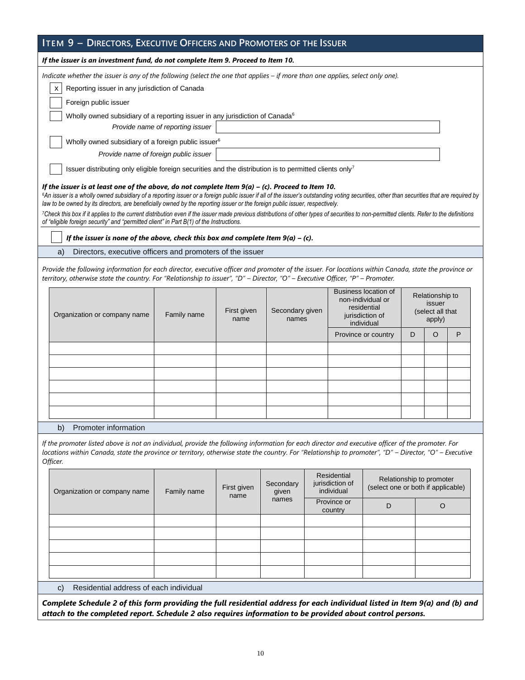|                                                                                                                                          | ITEM 9 - DIRECTORS, EXECUTIVE OFFICERS AND PROMOTERS OF THE ISSUER                                                                                                                                                                                                                                                                                                                                                                                                                                                                                                                                                                                                                                                                                                                                                         |             |                     |                          |                                                                |                                                                                           |                     |   |                                                         |   |  |
|------------------------------------------------------------------------------------------------------------------------------------------|----------------------------------------------------------------------------------------------------------------------------------------------------------------------------------------------------------------------------------------------------------------------------------------------------------------------------------------------------------------------------------------------------------------------------------------------------------------------------------------------------------------------------------------------------------------------------------------------------------------------------------------------------------------------------------------------------------------------------------------------------------------------------------------------------------------------------|-------------|---------------------|--------------------------|----------------------------------------------------------------|-------------------------------------------------------------------------------------------|---------------------|---|---------------------------------------------------------|---|--|
|                                                                                                                                          | If the issuer is an investment fund, do not complete Item 9. Proceed to Item 10.                                                                                                                                                                                                                                                                                                                                                                                                                                                                                                                                                                                                                                                                                                                                           |             |                     |                          |                                                                |                                                                                           |                     |   |                                                         |   |  |
|                                                                                                                                          | Indicate whether the issuer is any of the following (select the one that applies - if more than one applies, select only one).<br>Reporting issuer in any jurisdiction of Canada<br>x<br>Foreign public issuer                                                                                                                                                                                                                                                                                                                                                                                                                                                                                                                                                                                                             |             |                     |                          |                                                                |                                                                                           |                     |   |                                                         |   |  |
|                                                                                                                                          | Wholly owned subsidiary of a reporting issuer in any jurisdiction of Canada <sup>6</sup>                                                                                                                                                                                                                                                                                                                                                                                                                                                                                                                                                                                                                                                                                                                                   |             |                     |                          |                                                                |                                                                                           |                     |   |                                                         |   |  |
|                                                                                                                                          | Provide name of reporting issuer                                                                                                                                                                                                                                                                                                                                                                                                                                                                                                                                                                                                                                                                                                                                                                                           |             |                     |                          |                                                                |                                                                                           |                     |   |                                                         |   |  |
|                                                                                                                                          | Wholly owned subsidiary of a foreign public issuer <sup>6</sup>                                                                                                                                                                                                                                                                                                                                                                                                                                                                                                                                                                                                                                                                                                                                                            |             |                     |                          |                                                                |                                                                                           |                     |   |                                                         |   |  |
|                                                                                                                                          | Provide name of foreign public issuer                                                                                                                                                                                                                                                                                                                                                                                                                                                                                                                                                                                                                                                                                                                                                                                      |             |                     |                          |                                                                |                                                                                           |                     |   |                                                         |   |  |
|                                                                                                                                          | Issuer distributing only eligible foreign securities and the distribution is to permitted clients only <sup>7</sup>                                                                                                                                                                                                                                                                                                                                                                                                                                                                                                                                                                                                                                                                                                        |             |                     |                          |                                                                |                                                                                           |                     |   |                                                         |   |  |
|                                                                                                                                          | If the issuer is at least one of the above, do not complete Item $9(a) - (c)$ . Proceed to Item 10.<br><sup>6</sup> An issuer is a wholly owned subsidiary of a reporting issuer or a foreign public issuer if all of the issuer's outstanding voting securities, other than securities that are required by<br>law to be owned by its directors, are beneficially owned by the reporting issuer or the foreign public issuer, respectively.<br>7Check this box if it applies to the current distribution even if the issuer made previous distributions of other types of securities to non-permitted clients. Refer to the definitions<br>of "eligible foreign security" and "permitted client" in Part B(1) of the Instructions.<br>If the issuer is none of the above, check this box and complete Item $9(a) - (c)$ . |             |                     |                          |                                                                |                                                                                           |                     |   |                                                         |   |  |
|                                                                                                                                          | Directors, executive officers and promoters of the issuer<br>a)                                                                                                                                                                                                                                                                                                                                                                                                                                                                                                                                                                                                                                                                                                                                                            |             |                     |                          |                                                                |                                                                                           |                     |   |                                                         |   |  |
|                                                                                                                                          | Provide the following information for each director, executive officer and promoter of the issuer. For locations within Canada, state the province or<br>territory, otherwise state the country. For "Relationship to issuer", "D" - Director, "O" - Executive Officer, "P" - Promoter.                                                                                                                                                                                                                                                                                                                                                                                                                                                                                                                                    |             |                     |                          |                                                                |                                                                                           |                     |   |                                                         |   |  |
|                                                                                                                                          | Organization or company name                                                                                                                                                                                                                                                                                                                                                                                                                                                                                                                                                                                                                                                                                                                                                                                               | Family name | First given<br>name | Secondary given<br>names |                                                                | Business location of<br>non-individual or<br>residential<br>jurisdiction of<br>individual |                     |   | Relationship to<br>issuer<br>(select all that<br>apply) |   |  |
|                                                                                                                                          |                                                                                                                                                                                                                                                                                                                                                                                                                                                                                                                                                                                                                                                                                                                                                                                                                            |             |                     |                          |                                                                |                                                                                           | Province or country | D | O                                                       | P |  |
|                                                                                                                                          |                                                                                                                                                                                                                                                                                                                                                                                                                                                                                                                                                                                                                                                                                                                                                                                                                            |             |                     |                          |                                                                |                                                                                           |                     |   |                                                         |   |  |
|                                                                                                                                          |                                                                                                                                                                                                                                                                                                                                                                                                                                                                                                                                                                                                                                                                                                                                                                                                                            |             |                     |                          |                                                                |                                                                                           |                     |   |                                                         |   |  |
|                                                                                                                                          |                                                                                                                                                                                                                                                                                                                                                                                                                                                                                                                                                                                                                                                                                                                                                                                                                            |             |                     |                          |                                                                |                                                                                           |                     |   |                                                         |   |  |
|                                                                                                                                          |                                                                                                                                                                                                                                                                                                                                                                                                                                                                                                                                                                                                                                                                                                                                                                                                                            |             |                     |                          |                                                                |                                                                                           |                     |   |                                                         |   |  |
|                                                                                                                                          |                                                                                                                                                                                                                                                                                                                                                                                                                                                                                                                                                                                                                                                                                                                                                                                                                            |             |                     |                          |                                                                |                                                                                           |                     |   |                                                         |   |  |
|                                                                                                                                          | Promoter information<br>b)                                                                                                                                                                                                                                                                                                                                                                                                                                                                                                                                                                                                                                                                                                                                                                                                 |             |                     |                          |                                                                |                                                                                           |                     |   |                                                         |   |  |
|                                                                                                                                          | If the promoter listed above is not an individual, provide the following information for each director and executive officer of the promoter. For<br>locations within Canada, state the province or territory, otherwise state the country. For "Relationship to promoter", "D" - Director, "O" - Executive<br>Officer.                                                                                                                                                                                                                                                                                                                                                                                                                                                                                                    |             |                     |                          |                                                                |                                                                                           |                     |   |                                                         |   |  |
| Residential<br>jurisdiction of<br>Secondary<br>First given<br>individual<br>Organization or company name<br>Family name<br>given<br>name |                                                                                                                                                                                                                                                                                                                                                                                                                                                                                                                                                                                                                                                                                                                                                                                                                            |             |                     |                          | Relationship to promoter<br>(select one or both if applicable) |                                                                                           |                     |   |                                                         |   |  |
|                                                                                                                                          |                                                                                                                                                                                                                                                                                                                                                                                                                                                                                                                                                                                                                                                                                                                                                                                                                            |             |                     | names                    |                                                                | Province or<br>country                                                                    | D                   |   | O                                                       |   |  |
|                                                                                                                                          |                                                                                                                                                                                                                                                                                                                                                                                                                                                                                                                                                                                                                                                                                                                                                                                                                            |             |                     |                          |                                                                |                                                                                           |                     |   |                                                         |   |  |
|                                                                                                                                          |                                                                                                                                                                                                                                                                                                                                                                                                                                                                                                                                                                                                                                                                                                                                                                                                                            |             |                     |                          |                                                                |                                                                                           |                     |   |                                                         |   |  |
|                                                                                                                                          |                                                                                                                                                                                                                                                                                                                                                                                                                                                                                                                                                                                                                                                                                                                                                                                                                            |             |                     |                          |                                                                |                                                                                           |                     |   |                                                         |   |  |
|                                                                                                                                          |                                                                                                                                                                                                                                                                                                                                                                                                                                                                                                                                                                                                                                                                                                                                                                                                                            |             |                     |                          |                                                                |                                                                                           |                     |   |                                                         |   |  |

c) Residential address of each individual

*Complete Schedule 2 of this form providing the full residential address for each individual listed in Item 9(a) and (b) and attach to the completed report. Schedule 2 also requires information to be provided about control persons.*